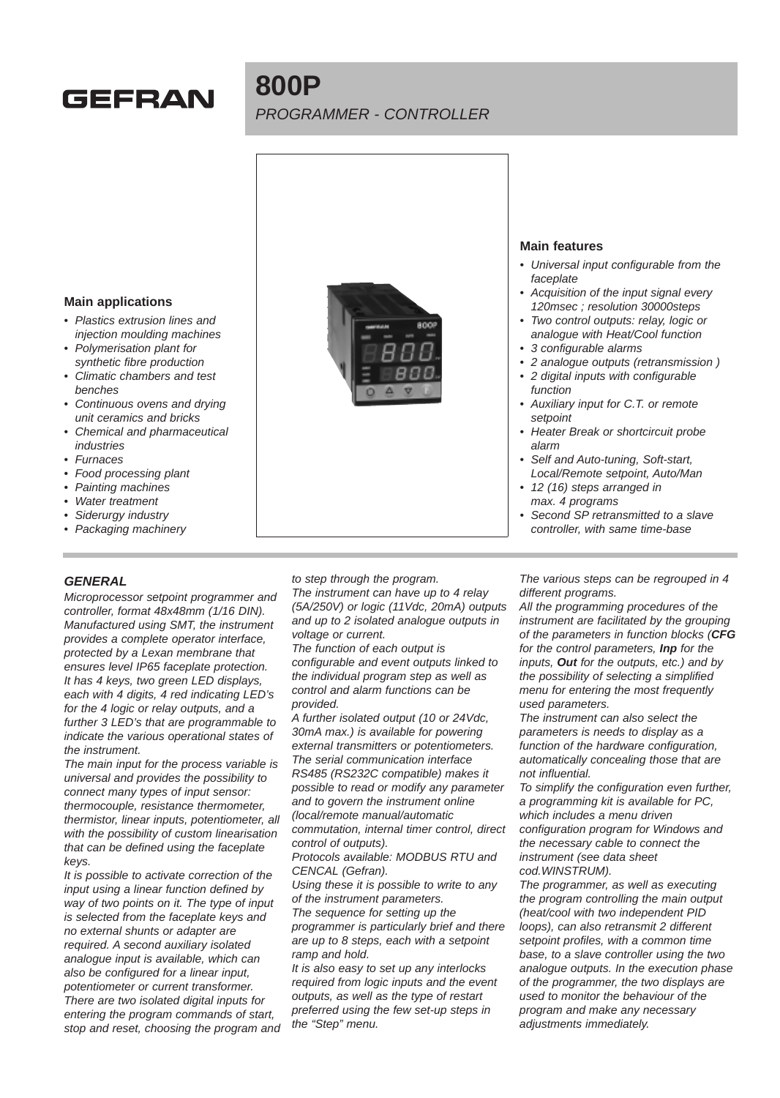# **GEFRAN**

# **800P** PROGRAMMER - CONTROLLER



- Plastics extrusion lines and injection moulding machines
- Polymerisation plant for synthetic fibre production
- Climatic chambers and test benches
- Continuous ovens and drying unit ceramics and bricks
- Chemical and pharmaceutical industries
- Furnaces
- Food processing plant
- Painting machines
- Water treatment
- Siderurgy industry
- Packaging machinery

## **GENERAL**

Microprocessor setpoint programmer and controller, format 48x48mm (1/16 DIN). Manufactured using SMT, the instrument provides a complete operator interface, protected by a Lexan membrane that ensures level IP65 faceplate protection. It has 4 keys, two green LED displays, each with 4 digits, 4 red indicating LED's for the 4 logic or relay outputs, and a further 3 LED's that are programmable to indicate the various operational states of the instrument.

The main input for the process variable is universal and provides the possibility to connect many types of input sensor: thermocouple, resistance thermometer, thermistor, linear inputs, potentiometer, all with the possibility of custom linearisation that can be defined using the faceplate keys.

It is possible to activate correction of the input using a linear function defined by way of two points on it. The type of input is selected from the faceplate keys and no external shunts or adapter are required. A second auxiliary isolated analogue input is available, which can also be configured for a linear input, potentiometer or current transformer. There are two isolated digital inputs for entering the program commands of start, stop and reset, choosing the program and



#### **Main features**

- Universal input configurable from the faceplate
- Acquisition of the input signal every 120msec ; resolution 30000steps
- Two control outputs: relay, logic or analogue with Heat/Cool function
- 3 configurable alarms
- 2 analogue outputs (retransmission )
- 2 digital inputs with configurable function
- Auxiliary input for C.T. or remote setpoint
- Heater Break or shortcircuit probe alarm
- Self and Auto-tuning, Soft-start, Local/Remote setpoint, Auto/Man
- 12 (16) steps arranged in max. 4 programs
- Second SP retransmitted to a slave controller, with same time-base

to step through the program. The instrument can have up to 4 relay (5A/250V) or logic (11Vdc, 20mA) outputs and up to 2 isolated analogue outputs in voltage or current.

The function of each output is configurable and event outputs linked to the individual program step as well as control and alarm functions can be provided.

A further isolated output (10 or 24Vdc, 30mA max.) is available for powering external transmitters or potentiometers. The serial communication interface RS485 (RS232C compatible) makes it possible to read or modify any parameter and to govern the instrument online (local/remote manual/automatic commutation, internal timer control, direct control of outputs).

Protocols available: MODBUS RTU and CENCAL (Gefran).

Using these it is possible to write to any of the instrument parameters.

The sequence for setting up the programmer is particularly brief and there are up to 8 steps, each with a setpoint ramp and hold.

It is also easy to set up any interlocks required from logic inputs and the event outputs, as well as the type of restart preferred using the few set-up steps in the "Step" menu.

The various steps can be regrouped in 4 different programs.

All the programming procedures of the instrument are facilitated by the grouping of the parameters in function blocks (**CFG** for the control parameters, **Inp** for the inputs, **Out** for the outputs, etc.) and by the possibility of selecting a simplified menu for entering the most frequently used parameters.

The instrument can also select the parameters is needs to display as a function of the hardware configuration, automatically concealing those that are not influential.

To simplify the configuration even further, a programming kit is available for PC, which includes a menu driven configuration program for Windows and the necessary cable to connect the instrument (see data sheet cod.WINSTRUM).

The programmer, as well as executing the program controlling the main output (heat/cool with two independent PID loops), can also retransmit 2 different setpoint profiles, with a common time base, to a slave controller using the two analogue outputs. In the execution phase of the programmer, the two displays are used to monitor the behaviour of the program and make any necessary adjustments immediately.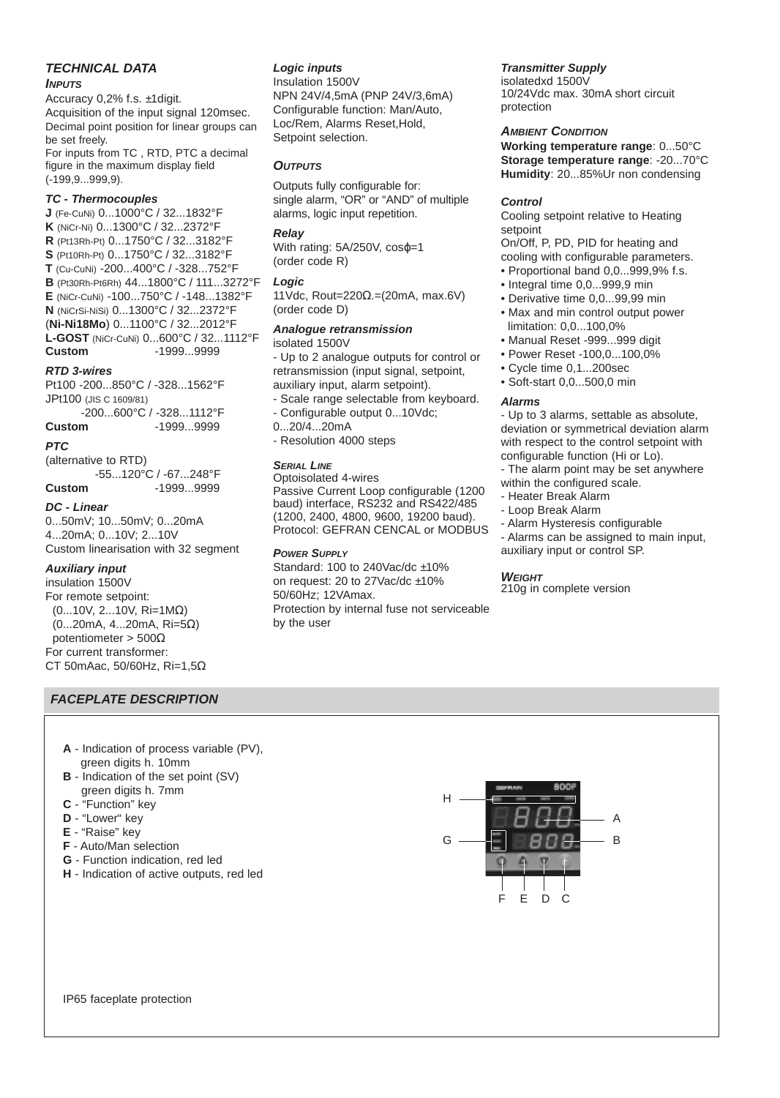#### **TECHNICAL DATA**

#### **INPUTS**

Accuracy 0,2% f.s. ±1digit. Acquisition of the input signal 120msec. Decimal point position for linear groups can be set freely.

For inputs from TC , RTD, PTC a decimal figure in the maximum display field (-199,9...999,9).

#### **TC - Thermocouples**

**J** (Fe-CuNi) 0...1000°C / 32...1832°F **K** (NiCr-Ni) 0...1300°C / 32...2372°F **R** (Pt13Rh-Pt) 0...1750°C / 32...3182°F **S** (Pt10Rh-Pt) 0...1750°C / 32...3182°F **T** (Cu-CuNi) -200...400°C / -328...752°F **B** (Pt30Rh-Pt6Rh) 44...1800°C / 111...3272°F **E** (NiCr-CuNi) -100...750°C / -148...1382°F **N** (NiCrSi-NiSi) 0...1300°C / 32...2372°F (**Ni-Ni18Mo**) 0...1100°C / 32...2012°F **L-GOST** (NiCr-CuNi) 0...600°C / 32...1112°F **Custom** -1999...9999

#### **RTD 3-wires**

Pt100 -200...850°C / -328...1562°F JPt100 (JIS C 1609/81) -200...600°C / -328...1112°F

**Custom** -1999...9999

# **PTC**

(alternative to RTD) -55...120°C / -67...248°F **Custom** -1999...9999

**DC - Linear**

0...50mV; 10...50mV; 0...20mA 4...20mA; 0...10V; 2...10V Custom linearisation with 32 segment

#### **Auxiliary input**

insulation 1500V For remote setpoint: (0...10V, 2...10V, Ri=1MΩ) (0...20mA, 4...20mA, Ri=5Ω) potentiometer > 500Ω For current transformer: CT 50mAac, 50/60Hz, Ri=1,5Ω

#### **FACEPLATE DESCRIPTION**

- **A** Indication of process variable (PV), green digits h. 10mm
- **B** Indication of the set point (SV) green digits h. 7mm
- **C** "Function" key
- **D** "Lower" key
- **E** "Raise" key
- **F** Auto/Man selection
- **G** Function indication, red led
- **H** Indication of active outputs, red led

#### **Logic inputs**

Insulation 1500V NPN 24V/4,5mA (PNP 24V/3,6mA) Configurable function: Man/Auto, Loc/Rem, Alarms Reset,Hold, Setpoint selection.

#### **OUTPUTS**

Outputs fully configurable for: single alarm, "OR" or "AND" of multiple alarms, logic input repetition.

#### **Relay**

With rating: 5A/250V, cosφ=1 (order code R)

#### **Logic**

11Vdc, Rout=220Ω.=(20mA, max.6V) (order code D)

# **Analogue retransmission**

isolated 1500V - Up to 2 analogue outputs for control or retransmission (input signal, setpoint, auxiliary input, alarm setpoint).

- Scale range selectable from keyboard. - Configurable output 0...10Vdc;
- 0...20/4...20mA
- Resolution 4000 steps

#### **SERIAL LINE**

Optoisolated 4-wires Passive Current Loop configurable (1200 baud) interface, RS232 and RS422/485 (1200, 2400, 4800, 9600, 19200 baud). Protocol: GEFRAN CENCAL or MODBUS

#### **POWER SUPPLY**

Standard: 100 to 240Vac/dc ±10% on request: 20 to 27Vac/dc ±10% 50/60Hz; 12VAmax. Protection by internal fuse not serviceable by the user

### **Transmitter Supply**

isolatedxd 1500V 10/24Vdc max. 30mA short circuit protection

#### **AMBIENT CONDITION**

**Working temperature range**: 0...50°C **Storage temperature range**: -20...70°C **Humidity**: 20...85%Ur non condensing

#### **Control**

Cooling setpoint relative to Heating setpoint

On/Off, P, PD, PID for heating and cooling with configurable parameters.

- Proportional band 0,0...999,9% f.s.
- Integral time 0,0...999,9 min
- Derivative time 0,0...99,99 min
- Max and min control output power limitation: 0,0...100,0%
- Manual Reset -999...999 digit
- Power Reset -100,0...100,0%
- Cycle time 0,1...200sec
- Soft-start 0,0...500,0 min

#### **Alarms**

- Up to 3 alarms, settable as absolute, deviation or symmetrical deviation alarm with respect to the control setpoint with configurable function (Hi or Lo).

- The alarm point may be set anywhere
- within the configured scale.
- Heater Break Alarm
- Loop Break Alarm
- Alarm Hysteresis configurable
- Alarms can be assigned to main input, auxiliary input or control SP.

#### **WEIGHT**

210g in complete version

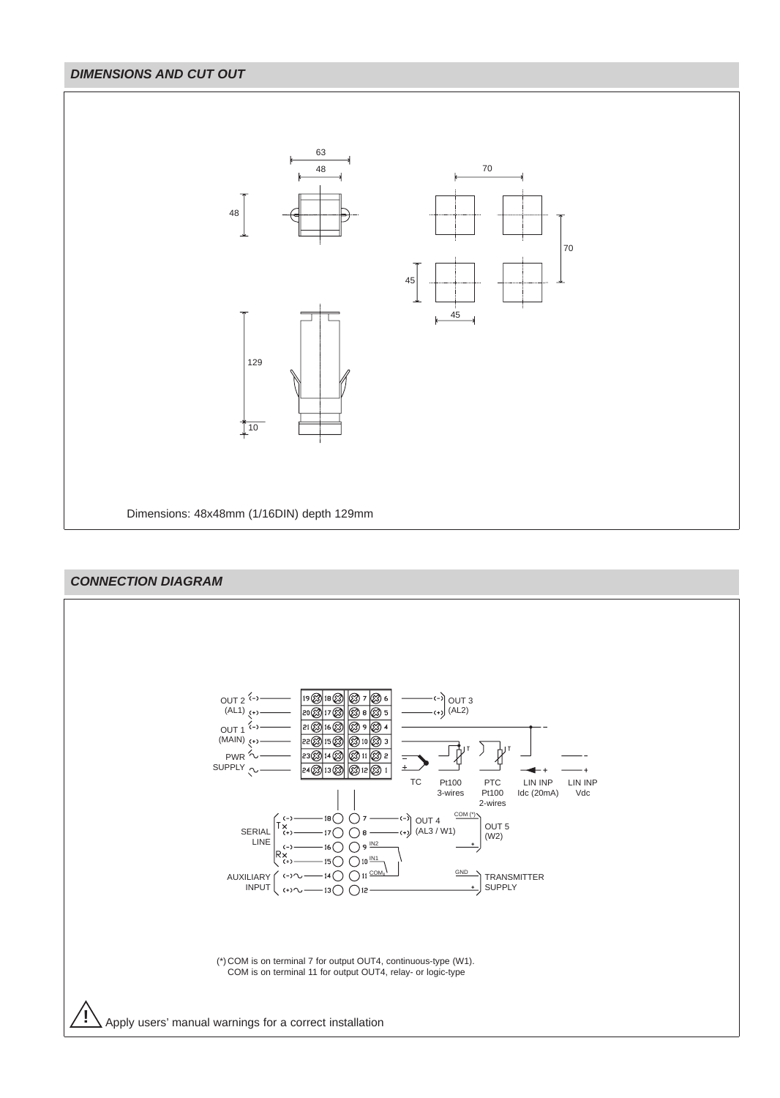# **DIMENSIONS AND CUT OUT**



# **CONNECTION DIAGRAM**